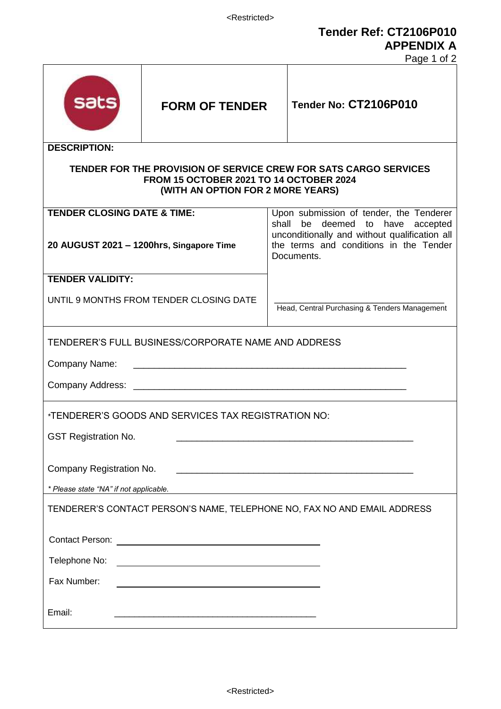**Tender Ref: CT2106P010 APPENDIX A**

Page 1 of 2

|                                                                                                                                                  |                                                                                                                        |                                                                                                       | $1$ ayd $1$ VI $2$                                                          |  |
|--------------------------------------------------------------------------------------------------------------------------------------------------|------------------------------------------------------------------------------------------------------------------------|-------------------------------------------------------------------------------------------------------|-----------------------------------------------------------------------------|--|
| <b>sats</b>                                                                                                                                      | <b>FORM OF TENDER</b>                                                                                                  |                                                                                                       | Tender No: CT2106P010                                                       |  |
| <b>DESCRIPTION:</b>                                                                                                                              |                                                                                                                        |                                                                                                       |                                                                             |  |
| TENDER FOR THE PROVISION OF SERVICE CREW FOR SATS CARGO SERVICES<br>FROM 15 OCTOBER 2021 TO 14 OCTOBER 2024<br>(WITH AN OPTION FOR 2 MORE YEARS) |                                                                                                                        |                                                                                                       |                                                                             |  |
| <b>TENDER CLOSING DATE &amp; TIME:</b>                                                                                                           |                                                                                                                        |                                                                                                       | Upon submission of tender, the Tenderer<br>shall be deemed to have accepted |  |
| 20 AUGUST 2021 - 1200hrs, Singapore Time                                                                                                         |                                                                                                                        | unconditionally and without qualification all<br>the terms and conditions in the Tender<br>Documents. |                                                                             |  |
| <b>TENDER VALIDITY:</b>                                                                                                                          |                                                                                                                        |                                                                                                       |                                                                             |  |
| UNTIL 9 MONTHS FROM TENDER CLOSING DATE                                                                                                          |                                                                                                                        | Head, Central Purchasing & Tenders Management                                                         |                                                                             |  |
| TENDERER'S FULL BUSINESS/CORPORATE NAME AND ADDRESS                                                                                              |                                                                                                                        |                                                                                                       |                                                                             |  |
| Company Name:<br><u> 1980 - Johann Barn, mars ann an t-Amhain ann an t-Amhain an t-Amhain an t-Amhain an t-Amhain an t-Amhain an t-</u>          |                                                                                                                        |                                                                                                       |                                                                             |  |
|                                                                                                                                                  |                                                                                                                        |                                                                                                       |                                                                             |  |
|                                                                                                                                                  |                                                                                                                        |                                                                                                       |                                                                             |  |
| *TENDERER'S GOODS AND SERVICES TAX REGISTRATION NO:                                                                                              |                                                                                                                        |                                                                                                       |                                                                             |  |
| <b>GST Registration No.</b>                                                                                                                      |                                                                                                                        |                                                                                                       |                                                                             |  |
|                                                                                                                                                  |                                                                                                                        |                                                                                                       |                                                                             |  |
| Company Registration No.                                                                                                                         |                                                                                                                        |                                                                                                       |                                                                             |  |
| * Please state "NA" if not applicable.                                                                                                           |                                                                                                                        |                                                                                                       |                                                                             |  |
| TENDERER'S CONTACT PERSON'S NAME, TELEPHONE NO, FAX NO AND EMAIL ADDRESS                                                                         |                                                                                                                        |                                                                                                       |                                                                             |  |
|                                                                                                                                                  |                                                                                                                        |                                                                                                       |                                                                             |  |
| Telephone No:                                                                                                                                    |                                                                                                                        |                                                                                                       |                                                                             |  |
|                                                                                                                                                  |                                                                                                                        |                                                                                                       |                                                                             |  |
| Fax Number:                                                                                                                                      | <u> 1989 - Johann Stoff, deutscher Stoffen und der Stoffen und der Stoffen und der Stoffen und der Stoffen und der</u> |                                                                                                       |                                                                             |  |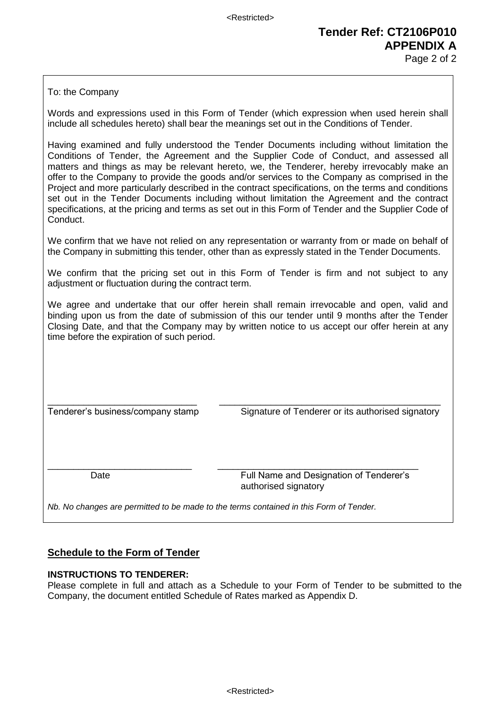# **Tender Ref: CT2106P010 APPENDIX A**

Page 2 of 2

To: the Company

Words and expressions used in this Form of Tender (which expression when used herein shall include all schedules hereto) shall bear the meanings set out in the Conditions of Tender.

Having examined and fully understood the Tender Documents including without limitation the Conditions of Tender, the Agreement and the Supplier Code of Conduct, and assessed all matters and things as may be relevant hereto, we, the Tenderer, hereby irrevocably make an offer to the Company to provide the goods and/or services to the Company as comprised in the Project and more particularly described in the contract specifications, on the terms and conditions set out in the Tender Documents including without limitation the Agreement and the contract specifications, at the pricing and terms as set out in this Form of Tender and the Supplier Code of Conduct.

We confirm that we have not relied on any representation or warranty from or made on behalf of the Company in submitting this tender, other than as expressly stated in the Tender Documents.

We confirm that the pricing set out in this Form of Tender is firm and not subject to any adjustment or fluctuation during the contract term.

We agree and undertake that our offer herein shall remain irrevocable and open, valid and binding upon us from the date of submission of this our tender until 9 months after the Tender Closing Date, and that the Company may by written notice to us accept our offer herein at any time before the expiration of such period.

\_\_\_\_\_\_\_\_\_\_\_\_\_\_\_\_\_\_\_\_\_\_\_\_\_\_\_\_\_ \_\_\_\_\_\_\_\_\_\_\_\_\_\_\_\_\_\_\_\_\_\_\_\_\_\_\_\_\_\_\_\_\_\_\_\_\_\_\_\_\_\_\_ Tenderer's business/company stamp Signature of Tenderer or its authorised signatory

\_\_\_\_\_\_\_\_\_\_\_\_\_\_\_\_\_\_\_\_\_\_\_\_\_\_\_\_ \_\_\_\_\_\_\_\_\_\_\_\_\_\_\_\_\_\_\_\_\_\_\_\_\_\_\_\_\_\_\_\_\_\_\_\_\_\_\_ Date Full Name and Designation of Tenderer's authorised signatory

*Nb. No changes are permitted to be made to the terms contained in this Form of Tender.*

#### **Schedule to the Form of Tender**

#### **INSTRUCTIONS TO TENDERER:**

Please complete in full and attach as a Schedule to your Form of Tender to be submitted to the Company, the document entitled Schedule of Rates marked as Appendix D.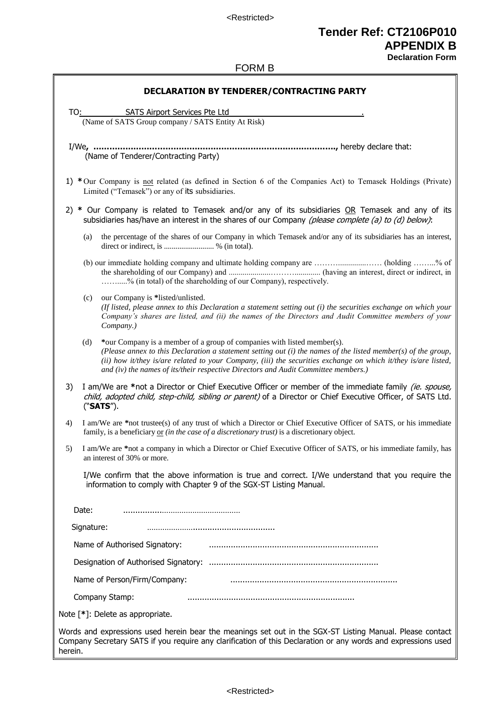<Restricted>

## **Tender Ref: CT2106P010 APPENDIX B**

**Declaration Form**

#### FORM B

| DECLARATION BY TENDERER/CONTRACTING PARTY                                                                                                                                                                                                                                                                                                                                                                 |  |  |  |
|-----------------------------------------------------------------------------------------------------------------------------------------------------------------------------------------------------------------------------------------------------------------------------------------------------------------------------------------------------------------------------------------------------------|--|--|--|
|                                                                                                                                                                                                                                                                                                                                                                                                           |  |  |  |
| SATS Airport Services Pte Ltd<br>TO:<br>(Name of SATS Group company / SATS Entity At Risk)                                                                                                                                                                                                                                                                                                                |  |  |  |
|                                                                                                                                                                                                                                                                                                                                                                                                           |  |  |  |
| (Name of Tenderer/Contracting Party)                                                                                                                                                                                                                                                                                                                                                                      |  |  |  |
| 1) *Our Company is not related (as defined in Section 6 of the Companies Act) to Temasek Holdings (Private)<br>Limited ("Temasek") or any of its subsidiaries.                                                                                                                                                                                                                                            |  |  |  |
| 2) * Our Company is related to Temasek and/or any of its subsidiaries OR Temasek and any of its<br>subsidiaries has/have an interest in the shares of our Company (please complete (a) to (d) below):                                                                                                                                                                                                     |  |  |  |
| the percentage of the shares of our Company in which Temasek and/or any of its subsidiaries has an interest,<br>(a)<br>direct or indirect, is  % (in total).                                                                                                                                                                                                                                              |  |  |  |
| % (in total) of the shareholding of our Company), respectively.                                                                                                                                                                                                                                                                                                                                           |  |  |  |
| our Company is *listed/unlisted.<br>(c)<br>(If listed, please annex to this Declaration a statement setting out (i) the securities exchange on which your<br>Company's shares are listed, and (ii) the names of the Directors and Audit Committee members of your<br>Company.)                                                                                                                            |  |  |  |
| (d)<br>*our Company is a member of a group of companies with listed member(s).<br>(Please annex to this Declaration a statement setting out $(i)$ the names of the listed member(s) of the group,<br>(ii) how it/they is/are related to your Company, (iii) the securities exchange on which it/they is/are listed,<br>and (iv) the names of its/their respective Directors and Audit Committee members.) |  |  |  |
| I am/We are *not a Director or Chief Executive Officer or member of the immediate family <i>(ie. spouse,</i><br>3)<br>child, adopted child, step-child, sibling or parent) of a Director or Chief Executive Officer, of SATS Ltd.<br>("SATS").                                                                                                                                                            |  |  |  |
| I am/We are *not trustee(s) of any trust of which a Director or Chief Executive Officer of SATS, or his immediate<br>4)<br>family, is a beneficiary or <i>(in the case of a discretionary trust)</i> is a discretionary object.                                                                                                                                                                           |  |  |  |
| I am/We are *not a company in which a Director or Chief Executive Officer of SATS, or his immediate family, has<br>an interest of 30% or more.                                                                                                                                                                                                                                                            |  |  |  |
| I/We confirm that the above information is true and correct. I/We understand that you require the<br>information to comply with Chapter 9 of the SGX-ST Listing Manual.                                                                                                                                                                                                                                   |  |  |  |
| Date:                                                                                                                                                                                                                                                                                                                                                                                                     |  |  |  |
| Signature:                                                                                                                                                                                                                                                                                                                                                                                                |  |  |  |
| Name of Authorised Signatory:                                                                                                                                                                                                                                                                                                                                                                             |  |  |  |
|                                                                                                                                                                                                                                                                                                                                                                                                           |  |  |  |
| Name of Person/Firm/Company:                                                                                                                                                                                                                                                                                                                                                                              |  |  |  |
| Company Stamp:                                                                                                                                                                                                                                                                                                                                                                                            |  |  |  |
| Note [*]: Delete as appropriate.                                                                                                                                                                                                                                                                                                                                                                          |  |  |  |
| Words and expressions used herein bear the meanings set out in the SGX-ST Listing Manual. Please contact<br>Company Secretary SATS if you require any clarification of this Declaration or any words and expressions used<br>herein.                                                                                                                                                                      |  |  |  |